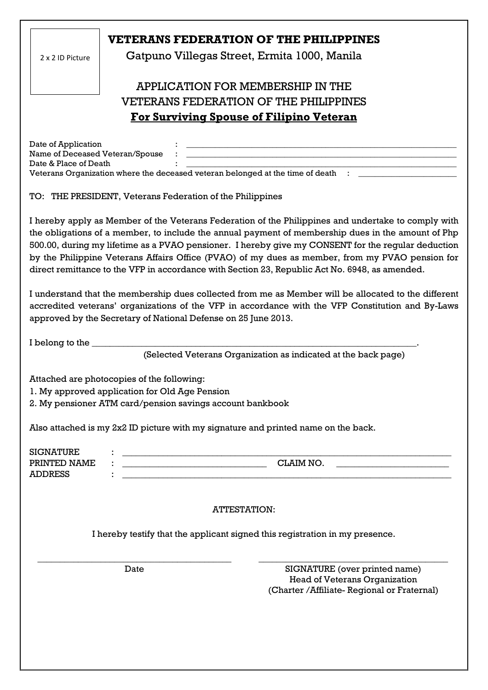|                                              |                                                                                                                                                                | <b>VETERANS FEDERATION OF THE PHILIPPINES</b>                                                                                                                                                                                                                                                                                                                                                                                                                                                                                                                                                                                                                                                                                                                                                                                            |
|----------------------------------------------|----------------------------------------------------------------------------------------------------------------------------------------------------------------|------------------------------------------------------------------------------------------------------------------------------------------------------------------------------------------------------------------------------------------------------------------------------------------------------------------------------------------------------------------------------------------------------------------------------------------------------------------------------------------------------------------------------------------------------------------------------------------------------------------------------------------------------------------------------------------------------------------------------------------------------------------------------------------------------------------------------------------|
| 2 x 2 ID Picture                             |                                                                                                                                                                | Gatpuno Villegas Street, Ermita 1000, Manila                                                                                                                                                                                                                                                                                                                                                                                                                                                                                                                                                                                                                                                                                                                                                                                             |
|                                              |                                                                                                                                                                | APPLICATION FOR MEMBERSHIP IN THE                                                                                                                                                                                                                                                                                                                                                                                                                                                                                                                                                                                                                                                                                                                                                                                                        |
|                                              |                                                                                                                                                                | <b>VETERANS FEDERATION OF THE PHILIPPINES</b>                                                                                                                                                                                                                                                                                                                                                                                                                                                                                                                                                                                                                                                                                                                                                                                            |
|                                              |                                                                                                                                                                | For Surviving Spouse of Filipino Veteran                                                                                                                                                                                                                                                                                                                                                                                                                                                                                                                                                                                                                                                                                                                                                                                                 |
| Date of Application<br>Date & Place of Death | Name of Deceased Veteran/Spouse<br>TO: THE PRESIDENT, Veterans Federation of the Philippines<br>approved by the Secretary of National Defense on 25 June 2013. | Veterans Organization where the deceased veteran belonged at the time of death : __________________<br>I hereby apply as Member of the Veterans Federation of the Philippines and undertake to comply with<br>the obligations of a member, to include the annual payment of membership dues in the amount of Php<br>500.00, during my lifetime as a PVAO pensioner. I hereby give my CONSENT for the regular deduction<br>by the Philippine Veterans Affairs Office (PVAO) of my dues as member, from my PVAO pension for<br>direct remittance to the VFP in accordance with Section 23, Republic Act No. 6948, as amended.<br>I understand that the membership dues collected from me as Member will be allocated to the different<br>accredited veterans' organizations of the VFP in accordance with the VFP Constitution and By-Laws |
| I belong to the                              |                                                                                                                                                                | (Selected Veterans Organization as indicated at the back page)                                                                                                                                                                                                                                                                                                                                                                                                                                                                                                                                                                                                                                                                                                                                                                           |
|                                              | Attached are photocopies of the following:                                                                                                                     |                                                                                                                                                                                                                                                                                                                                                                                                                                                                                                                                                                                                                                                                                                                                                                                                                                          |
|                                              | 1. My approved application for Old Age Pension<br>2. My pensioner ATM card/pension savings account bankbook                                                    |                                                                                                                                                                                                                                                                                                                                                                                                                                                                                                                                                                                                                                                                                                                                                                                                                                          |
|                                              |                                                                                                                                                                |                                                                                                                                                                                                                                                                                                                                                                                                                                                                                                                                                                                                                                                                                                                                                                                                                                          |
|                                              |                                                                                                                                                                | Also attached is my 2x2 ID picture with my signature and printed name on the back.                                                                                                                                                                                                                                                                                                                                                                                                                                                                                                                                                                                                                                                                                                                                                       |
| <b>SIGNATURE</b><br>PRINTED NAME             |                                                                                                                                                                | CLAIM NO.                                                                                                                                                                                                                                                                                                                                                                                                                                                                                                                                                                                                                                                                                                                                                                                                                                |
| <b>ADDRESS</b>                               |                                                                                                                                                                | <u> 1989 - Jan Barbara Barat, manazar a</u><br><u> 1989 - Johann Stoff, deutscher Stoff, der Stoff, der Stoff, der Stoff, der Stoff, der Stoff, der Stoff, der S</u>                                                                                                                                                                                                                                                                                                                                                                                                                                                                                                                                                                                                                                                                     |
|                                              |                                                                                                                                                                | <b>ATTESTATION:</b>                                                                                                                                                                                                                                                                                                                                                                                                                                                                                                                                                                                                                                                                                                                                                                                                                      |
|                                              |                                                                                                                                                                | I hereby testify that the applicant signed this registration in my presence.                                                                                                                                                                                                                                                                                                                                                                                                                                                                                                                                                                                                                                                                                                                                                             |
|                                              | Date                                                                                                                                                           | SIGNATURE (over printed name)<br><b>Head of Veterans Organization</b><br>(Charter / Affiliate- Regional or Fraternal)                                                                                                                                                                                                                                                                                                                                                                                                                                                                                                                                                                                                                                                                                                                    |
|                                              |                                                                                                                                                                |                                                                                                                                                                                                                                                                                                                                                                                                                                                                                                                                                                                                                                                                                                                                                                                                                                          |